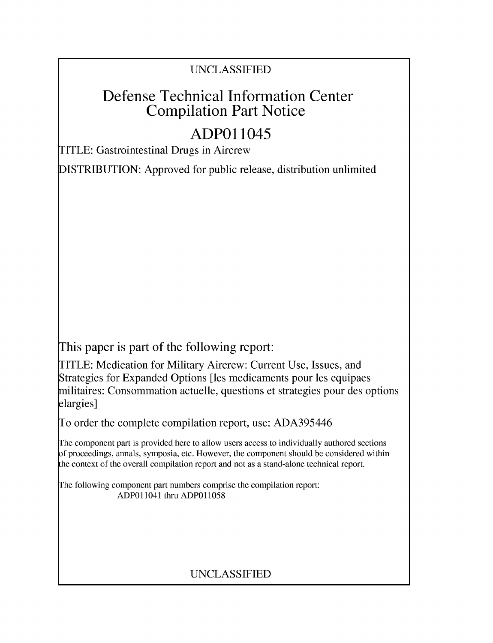### UNCLASSIFIED

# Defense Technical Information Center Compilation Part Notice

# **ADPO** 11045

TITLE: Gastrointestinal Drugs in Aircrew

DISTRIBUTION: Approved for public release, distribution unlimited

This paper is part of the following report:

TITLE: Medication for Military Aircrew: Current Use, Issues, and Strategies for Expanded Options [les medicaments pour les equipaes militaires: Consommation actuelle, questions et strategies pour des options elargies]

To order the complete compilation report, use: ADA395446

The component part is provided here to allow users access to individually authored sections f proceedings, annals, symposia, etc. However, the component should be considered within [he context of the overall compilation report and not as a stand-alone technical report.

The following component part numbers comprise the compilation report: ADPO11041 thru ADP011058

## UNCLASSIFIED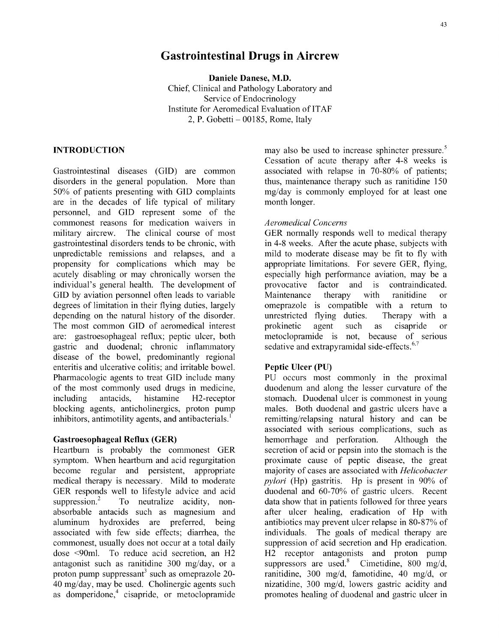Daniele Danese, M.D. Chief, Clinical and Pathology Laboratory and Service of Endocrinology Institute for Aeromedical Evaluation of ITAF  $2, P. Gobetti - 00185$ , Rome, Italy

Gastrointestinal diseases (GID) are common associated with relapse in 70-80% of patients;<br>disorders in the general population. More than thus, maintenance therapy such as ranitidine 150 disorders in the general population. More than **50%** of patients presenting with GID complaints mg/day is commonly employed for at least one are in the decades of life typical of military month longer. personnel, and GID represent some of the commonest reasons for medication waivers in *Aeromedical Concerns* military aircrew. The clinical course of most GER normally responds well to medical therapy gastrointestinal disorders tends to be chronic, with in 4-8 weeks. After the acute phase, subjects with unpredictable remissions and relapses, and a mild to moderate disease may be fit to fly with propensity for complications which may be appropriate limitations. For severe GER, flying, acutely disabling or may chronically worsen the especially high performance aviation, may be a individual's general health. The development of provocative factor and is contraindicated. **GID** by aviation personnel often leads to variable Maintenance therapy with ranitidine or degrees of limitation in their flying duties, largely omeprazole is compatible with a return to depending on the natural history of the disorder. unrestricted flying duties. Therapy with a The most common GID of aeromedical interest prokinetic agent such as cisapride or are: gastroesophageal reflux; peptic ulcer, both metoclopramide is not, because of serious gastric and duodenal; chronic inflammatory disease of the bowel, predominantly regional enteritis and ulcerative colitis; and irritable bowel. **Peptic Ulcer (PU)** Pharmacologic agents to treat GID include many PU occurs most commonly in the proximal of the most commonly used drugs in medicine, duodenum and along the lesser curvature of the including antacids, histamine H2-receptor stomach. Duodenal ulcer is commonest in young blocking agents, anticholinergics, proton pump males. Both duodenal and gastric ulcers have a inhibitors, antimotility agents, and antibacterials.<sup>1</sup> remitting/relapsing natural history and can be

symptom. When heartburn and acid regurgitation proximate cause of peptic disease, the great become regular and persistent, appropriate majority of cases are associated with *Helicobacter* medical therapy is necessary. Mild to moderate *pylori* (Hp) gastritis. Hp is present in **90%** of GER responds well to lifestyle advice and acid duodenal and 60-70% of gastric ulcers. Recent suppression.<sup>2</sup> To neutralize acidity, non-<br>data show that in patients followed for three years absorbable antacids such as magnesium and after ulcer healing, eradication of Hp with aluminum hydroxides are preferred, being antibiotics may prevent ulcer relapse in 80-87% of associated with few side effects; diarrhea, the individuals. The goals of medical therapy are commonest, usually does not occur at a total daily suppression of acid secretion and Hp eradication. dose <90ml. To reduce acid secretion, an H2 H2 receptor antagonists and proton pump antagonist such as ranitidine 300 mg/day, or a suppressors are used.<sup>8</sup> Cimetidine, 800 mg/d, proton pump suppressant<sup>3</sup> such as omeprazole 20-<br>ranitidine, 300 mg/d, famotidine, 40 mg/d, or 40 mg/day, may be used. Cholinergic agents such nizatidine, 300 mg/d, lowers gastric acidity and as domperidone,<sup>4</sup> cisapride, or metoclopramide promotes healing of duodenal and gastric ulcer in

**INTRODUCTION** may also be used to increase sphincter pressure.<sup>5</sup> Cessation of acute therapy after 4-8 weeks is associated with relapse in 70-80% of patients;

' 7

associated with serious complications, such as Gastroesophageal Reflux (GER) hemorrhage and perforation. Although the Heartburn is probably the commonest GER secretion of acid or pepsin into the stomach is the To neutralize acidity, non- data show that in patients followed for three years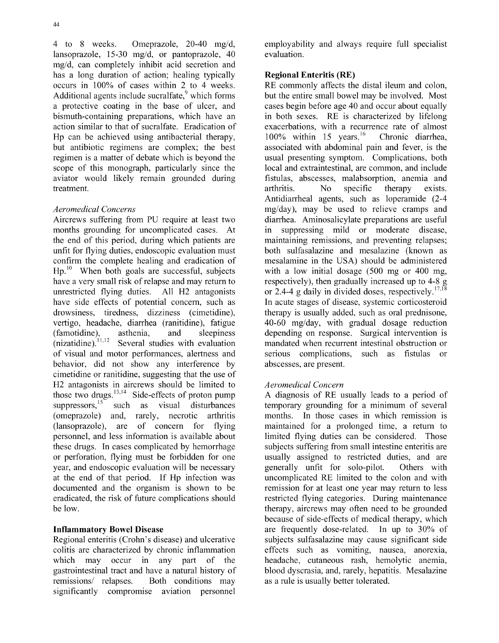4 to 8 weeks. Omeprazole, 20-40 mg/d, employability and always require full specialist lansoprazole, 15-30 mg/d, or pantoprazole, 40 evaluation. mg/d, can completely inhibit acid secretion and has a long duration of action; healing typically **Regional Enteritis (RE)** occurs in 100% of cases within 2 to 4 weeks. RE commonly affects the distal ileum and colon, Additional agents include sucralfate,  $9$  which forms but the entire small bowel may be involved. Most a protective coating in the base of ulcer, and cases begin before age 40 and occur about equally bismuth-containing preparations, which have an in both sexes. RE is characterized by lifelong action similar to that of sucralfate. Eradication of exacerbations, with a recurrence rate of almost<br>Hp can be achieved using antibacterial therapy,  $100\%$  within 15 years.<sup>16</sup> Chronic diarrhea, Hp can be achieved using antibacterial therapy,  $100\%$  within 15 years.<sup>16</sup> Chronic diarrhea, but antibiotic regimens are complex; the best associated with abdominal pain and fever, is the regimen is a matter of debate which is beyond the usual presenting symptom. Complications, both scope of this monograph, particularly since the local and extraintestinal, are common, and include aviator would likely remain grounded during fistulas, abscesses, malabsorption, anemia and treatment. The contraction of the contraction of the contraction of the contraction of the contraction of the contraction of the contraction of the contraction of the contraction of the contraction of the contraction of th

Aircrews suffering from PU require at least two diarrhea. Aminosalicylate preparations are useful months grounding for uncomplicated cases. At in suppressing mild or moderate disease, the end of this period, during which patients are maintaining remissions, and preventing relapses; unfit for flying duties, endoscopic evaluation must both sulfasalazine and mesalazine (known as confirm the complete healing and eradication of mesalamine in the USA) should be administered **Hp.10** When both goals are successful, subjects with a low initial dosage (500 mg or 400 mg, have a very small risk of relapse and may return to respectively), then gradually increased up to 4-8 g unrestricted flying duties. All H2 antagonists or 2.4-4 g daily in divided doses, respectively.<sup>17,18</sup> have side effects of potential concern, such as In acute stages of disease, systemic corticosteroid drowsiness, tiredness, dizziness (cimetidine), therapy is usually added, such as oral prednisone, vertigo, headache, diarrhea (ranitidine), fatigue 40-60 mg/day, with gradual dosage reduction (famotidine), asthenia, and sleepiness depending on response. Surgical intervention is (nizatidine).<sup>11,12</sup> Several studies with evaluation mandated when recurrent intestinal obstruction or of visual and motor performances, alertness and serious complications, such as fistulas or behavior, did not show any interference by abscesses, are present. cimetidine or ranitidine, suggesting that the use of H2 antagonists in aircrews should be limited to *Aeromedical Concern* those two drugs. $^{13}$ suppressors, $15$  such as visual disturbances temporary grounding for a minimum of several (omeprazole) and, rarely, necrotic arthritis months. In those cases in which remission is (lansoprazole), are of concern for flying maintained for a prolonged time, a return to personnel, and less information is available about limited flying duties can be considered. Those these drugs. In cases complicated by hemorrhage subjects suffering from small intestine enteritis are or perforation, flying must be forbidden for one usually assigned to restricted duties, and are year, and endoscopic evaluation will be necessary generally unfit for solo-pilot. Others with at the end of that period. If Hp infection was uncomplicated RE limited to the colon and with documented and the organism is shown to be remission for at least one year may return to less eradicated, the risk of future complications should restricted flying categories. During maintenance be low. therapy, aircrews may often need to be grounded

Regional enteritis (Crohn's disease) and ulcerative subjects sulfasalazine may cause significant side colitis are characterized by chronic inflammation effects such as vomiting, nausea, anorexia, which may occur in any part of the headache, cutaneous rash, hemolytic anemia, gastrointestinal tract and have a natural history of blood dyscrasia, and, rarely, hepatitis. Mesalazine remissions/ relapses. Both conditions may as a rule is usually better tolerated. significantly compromise aviation personnel

Antidiarrheal agents, such as loperamide (2-4 *Aeromedical Concerns* mg/day), may be used to relieve cramps and Several studies with evaluation mandated when recurrent intestinal obstruction or

A diagnosis of RE usually leads to a period of because of side-effects of medical therapy, which Inflammatory Bowel Disease are frequently dose-related. In up to **30%** of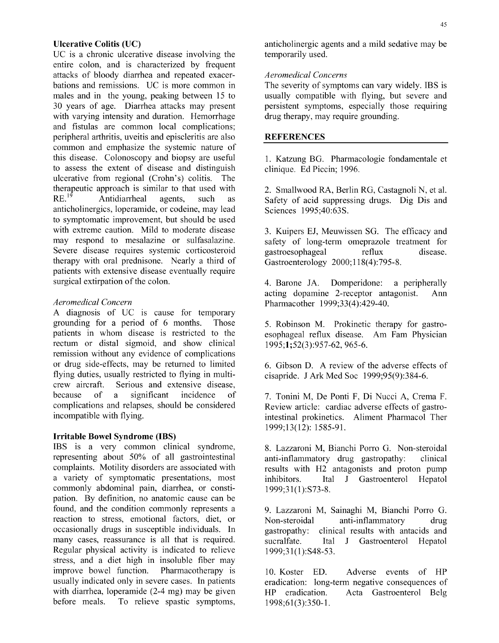UC is a chronic ulcerative disease involving the temporarily used. entire colon, and is characterized by frequent attacks of bloody diarrhea and repeated exacer- *Aeromedical Concerns* bations and remissions. UC is more common in The severity of symptoms can vary widely. IBS is males and in the young, peaking between 15 to usually compatible with flying, but severe and males and in the young, peaking between  $15$  to 30 years of age. Diarrhea attacks may present persistent symptoms, especially those requiring with varying intensity and duration. Hemorrhage drug therapy, may require grounding. and fistulas are common local complications; peripheral arthritis, uveitis and episcleritis are also **REFERENCES** common and emphasize the systemic nature of this disease. Colonoscopy and biopsy are useful 1. Katzung BG. Pharmacologie fondamentale et to assess the extent of disease and distinguish clinique. Ed Piccin; 1996. ulcerative from regional (Crohn's) colitis. The therapeutic approach is similar to that used with 2. Smallwood RA, Berlin RG, Castagnoli N, et al. RE.<sup>19</sup> Antidiarrheal agents, such as Safety of acid suppressing drugs. Dig Dis and anticholinergics, loperamide, or codeine, may lead Sciences 1995;40:63S. to symptomatic improvement, but should be used with extreme caution. Mild to moderate disease 3. Kuipers EJ, Meuwissen SG. The efficacy and may respond to mesalazine or sulfasalazine. safety of long-term omeprazole treatment for Severe disease requires systemic corticosteroid gastroesophageal reflux disease. therapy with oral prednisone. Nearly a third of Gastroenterology 2000;118(4):795-8. patients with extensive disease eventually require surgical extirpation of the colon. 4. Barone JA. Domperidone: a peripherally

A diagnosis of **UC** is cause for temporary grounding for a period of 6 months. Those 5. Robinson M. Prokinetic therapy for gastropatients in whom disease is restricted to the esophageal reflux disease. Am Fam Physician rectum or distal sigmoid, and show clinical  $1995:1:52(3):957-62,965-6$ . remission without any evidence of complications or drug side-effects, may be returned to limited 6. Gibson D. A review of the adverse effects of flying duties, usually restricted to flying in multi- cisapride. J Ark Med Soc 1999;95(9):384-6. crew aircraft. Serious and extensive disease, because of a significant incidence of 7. Tonini M, De Ponti F, Di Nucci A, Crema F. complications and relapses, should be considered Review article: cardiac adverse effects of gastroincompatible with flying. The intestinal prokinetics. Aliment Pharmacol Ther

### Irritable Bowel Syndrome (IBS)

IBS is a very common clinical syndrome, 8. Lazzaroni M, Bianchi Porro G. Non-steroidal representing about **50%** of all gastrointestinal anti-inflammatory drug gastropathy: clinical complaints. Motility disorders are associated with results with H2 antagonists and proton pump a variety of symptomatic presentations, most inhibitors. Ital J Gastroenterol Hepatol commonly abdominal pain, diarrhea, or consti- 1999;31(1):S73-8. pation. By definition, no anatomic cause can be found, and the condition commonly represents a 9. Lazzaroni M, Sainaghi M, Bianchi Porro G. reaction to stress, emotional factors, diet, or Non-steroidal anti-inflammatory drug occasionally drugs in susceptible individuals. In gastropathy: clinical results with antacids and many cases, reassurance is all that is required. Sucralfate. Ital J Gastroenterol Hepatol Regular physical activity is indicated to relieve 1999;31(1):S48-53. stress, and a diet high in insoluble fiber may improve bowel function. Pharmacotherapy is 10. Koster ED. Adverse events of HP usually indicated only in severe cases. In patients eradication: long-term negative consequences of with diarrhea, loperamide (2-4 mg) may be given HP eradication. Acta Gastroenterol Belg before meals. To relieve spastic symptoms, 1998;61(3):350-1.

Ulcerative Colitis **(UC) anticholinergic agents and a mild sedative may be** anticholinergic agents and a mild sedative may be

acting dopamine 2-receptor antagonist. Ann *Aeromedical Concern* Pharmacother 1999;33(4):429-40.

1999;13(12): 1585-91.